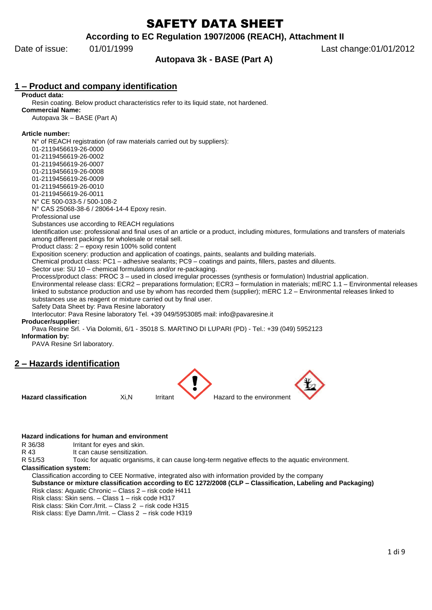# SAFETY DATA SHEET

**According to EC Regulation 1907/2006 (REACH), Attachment II**

# **Autopava 3k - BASE (Part A)**

Date of issue: 01/01/1999 **Date of issue:** 01/01/1999

# **1 – Product and company identification**

**Product data:**

Resin coating. Below product characteristics refer to its liquid state, not hardened. **Commercial Name:** Autopava 3k – BASE (Part A)

#### **Article number:**

N° of REACH registration (of raw materials carried out by suppliers): 01-2119456619-26-0000 01-2119456619-26-0002 01-2119456619-26-0007 01-2119456619-26-0008 01-2119456619-26-0009 01-2119456619-26-0010 01-2119456619-26-0011 N° CE 500-033-5 / 500-108-2 N° CAS 25068-38-6 / 28064-14-4 Epoxy resin. Professional use Substances use according to REACH regulations Identification use: professional and final uses of an article or a product, including mixtures, formulations and transfers of materials among different packings for wholesale or retail sell. Product class: 2 – epoxy resin 100% solid content Exposition scenery: production and application of coatings, paints, sealants and building materials. Chemical product class: PC1 – adhesive sealants; PC9 – coatings and paints, fillers, pastes and diluents. Sector use: SU 10 – chemical formulations and/or re-packaging. Process/product class: PROC 3 – used in closed irregular processes (synthesis or formulation) Industrial application. Environmental release class: ECR2 – preparations formulation; ECR3 – formulation in materials; mERC 1.1 – Environmental releases linked to substance production and use by whom has recorded them (supplier); mERC 1.2 – Environmental releases linked to substances use as reagent or mixture carried out by final user. Safety Data Sheet by: Pava Resine laboratory Interlocutor: Pava Resine laboratory Tel. +39 049/5953085 mail: info@pavaresine.it

#### **Producer/supplier:**

Pava Resine Srl. - Via Dolomiti, 6/1 - 35018 S. MARTINO DI LUPARI (PD) - Tel.: +39 (049) 5952123

#### **Information by:**

PAVA Resine Srl laboratory.

# **2 – Hazards identification**



#### **Hazard indications for human and environment**

R 36/38 Irritant for eyes and skin.

R 43 It can cause sensitization.

R 51/53 Toxic for aquatic organisms, it can cause long-term negative effects to the aquatic environment.

#### **Classification system:**

Classification according to CEE Normative, integrated also with information provided by the company **Substance or mixture classification according to EC 1272/2008 (CLP – Classification, Labeling and Packaging)** Risk class: Aquatic Chronic – Class 2 – risk code H411

Risk class: Skin sens. – Class 1 – risk code H317

Risk class: Skin Corr./Irrit. – Class 2 – risk code H315

Risk class: Eye Damn./Irrit. – Class 2 – risk code H319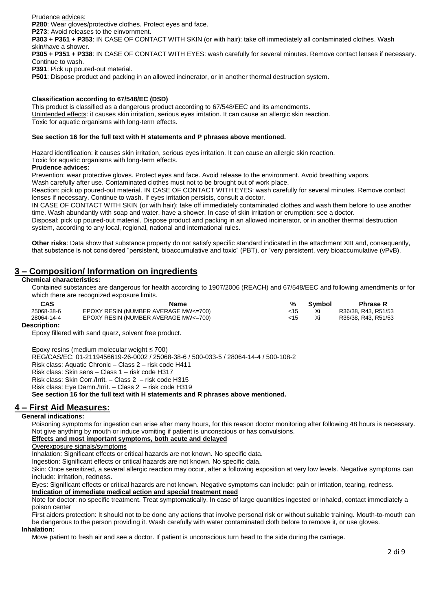Prudence advices:

**P280**: Wear gloves/protective clothes. Protect eyes and face.

**P273**: Avoid releases to the einvornment.

**P303 + P361 + P353**: IN CASE OF CONTACT WITH SKIN (or with hair): take off immediately all contaminated clothes. Wash skin/have a shower.

**P305 + P351 + P338**: IN CASE OF CONTACT WITH EYES: wash carefully for several minutes. Remove contact lenses if necessary. Continue to wash.

**P391**: Pick up poured-out material.

**P501**: Dispose product and packing in an allowed incinerator, or in another thermal destruction system.

#### **Classification according to 67/548/EC (DSD)**

This product is classified as a dangerous product according to 67/548/EEC and its amendments. Unintended effects: it causes skin irritation, serious eyes irritation. It can cause an allergic skin reaction. Toxic for aquatic organisms with long-term effects.

#### **See section 16 for the full text with H statements and P phrases above mentioned.**

Hazard identification: it causes skin irritation, serious eyes irritation. It can cause an allergic skin reaction.

Toxic for aquatic organisms with long-term effects.

#### **Prudence advices:**

Prevention: wear protective gloves. Protect eyes and face. Avoid release to the environment. Avoid breathing vapors.

Wash carefully after use. Contaminated clothes must not to be brought out of work place.

Reaction: pick up poured-out material. IN CASE OF CONTACT WITH EYES: wash carefully for several minutes. Remove contact lenses if necessary. Continue to wash. If eyes irritation persists, consult a doctor.

IN CASE OF CONTACT WITH SKIN (or with hair): take off immediately contaminated clothes and wash them before to use another time. Wash abundantly with soap and water, have a shower. In case of skin irritation or erumption: see a doctor.

Disposal: pick up poured-out material. Dispose product and packing in an allowed incinerator, or in another thermal destruction system, according to any local, regional, national and international rules.

**Other risks**: Data show that substance property do not satisfy specific standard indicated in the attachment XIII and, consequently, that substance is not considered "persistent, bioaccumulative and toxic" (PBT), or "very persistent, very bioaccumulative (vPvB).

# **3 – Composition/ Information on ingredients**

#### **Chemical characteristics:**

Contained substances are dangerous for health according to 1907/2006 (REACH) and 67/548/EEC and following amendments or for which there are recognized exposure limits.

| CAS        | Name                                 |     | Symbol | <b>Phrase R</b>     |
|------------|--------------------------------------|-----|--------|---------------------|
| 25068-38-6 | EPOXY RESIN (NUMBER AVERAGE MW<=700) | <15 |        | R36/38, R43, R51/53 |
| 28064-14-4 | EPOXY RESIN (NUMBER AVERAGE MW<=700) | <15 |        | R36/38, R43, R51/53 |
| _          |                                      |     |        |                     |

**Description:**

Epoxy fillered with sand quarz, solvent free product.

Epoxy resins (medium molecular weight ≤ 700)

REG/CAS/EC: 01-2119456619-26-0002 / 25068-38-6 / 500-033-5 / 28064-14-4 / 500-108-2

Risk class: Aquatic Chronic – Class 2 – risk code H411

Risk class: Skin sens – Class 1 – risk code H317

Risk class: Skin Corr./Irrit. – Class 2 – risk code H315

Risk class: Eye Damn./Irrit. – Class 2 – risk code H319

**See section 16 for the full text with H statements and R phrases above mentioned.** 

### **4 – First Aid Measures:**

#### **General indications:**

Poisoning symptoms for ingestion can arise after many hours, for this reason doctor monitoring after following 48 hours is necessary. Not give anything by mouth or induce vomiting if patient is unconscious or has convulsions.

#### **Effects and most important symptoms, both acute and delayed**

Overexposure signals/symptoms

Inhalation: Significant effects or critical hazards are not known. No specific data.

Ingestion: Significant effects or critical hazards are not known. No specific data.

Skin: Once sensitized, a several allergic reaction may occur, after a following exposition at very low levels. Negative symptoms can include: irritation, redness.

Eyes: Significant effects or critical hazards are not known. Negative symptoms can include: pain or irritation, tearing, redness. **Indication of immediate medical action and special treatment need**

Note for doctor: no specific treatment. Treat symptomatically. In case of large quantities ingested or inhaled, contact immediately a poison center

First aiders protection: It should not to be done any actions that involve personal risk or without suitable training. Mouth-to-mouth can be dangerous to the person providing it. Wash carefully with water contaminated cloth before to remove it, or use gloves.

#### **Inhalation:**

Move patient to fresh air and see a doctor. If patient is unconscious turn head to the side during the carriage.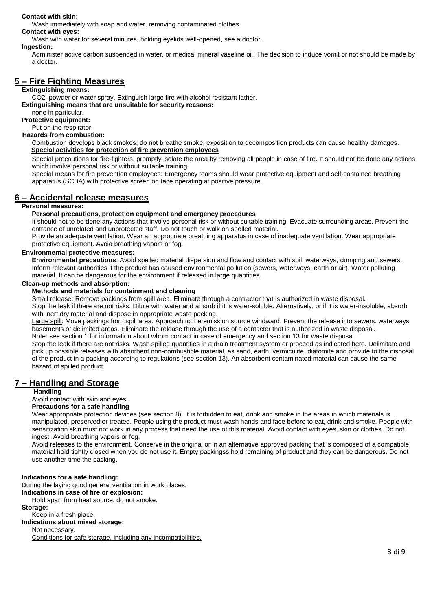#### **Contact with skin:**

Wash immediately with soap and water, removing contaminated clothes.

**Contact with eyes:**

Wash with water for several minutes, holding eyelids well-opened, see a doctor.

**Ingestion:**

Administer active carbon suspended in water, or medical mineral vaseline oil. The decision to induce vomit or not should be made by a doctor.

# **5 – Fire Fighting Measures**

#### **Extinguishing means:**

CO2, powder or water spray. Extinguish large fire with alcohol resistant lather.

**Extinguishing means that are unsuitable for security reasons:**

none in particular.

**Protective equipment:** Put on the respirator.

### **Hazards from combustion:**

Combustion develops black smokes; do not breathe smoke, exposition to decomposition products can cause healthy damages. **Special activities for protection of fire prevention employees**

Special precautions for fire-fighters: promptly isolate the area by removing all people in case of fire. It should not be done any actions which involve personal risk or without suitable training.

Special means for fire prevention employees: Emergency teams should wear protective equipment and self-contained breathing apparatus (SCBA) with protective screen on face operating at positive pressure.

# **6 – Accidental release measures**

### **Personal measures:**

#### **Personal precautions, protection equipment and emergency procedures**

It should not to be done any actions that involve personal risk or without suitable training. Evacuate surrounding areas. Prevent the entrance of unrelated and unprotected staff. Do not touch or walk on spelled material.

Provide an adequate ventilation. Wear an appropriate breathing apparatus in case of inadequate ventilation. Wear appropriate protective equipment. Avoid breathing vapors or fog.

#### **Environmental protective measures:**

**Environmental precautions**: Avoid spelled material dispersion and flow and contact with soil, waterways, dumping and sewers. Inform relevant authorities if the product has caused environmental pollution (sewers, waterways, earth or air). Water polluting material. It can be dangerous for the environment if released in large quantities.

#### **Clean-up methods and absorption:**

#### **Methods and materials for containment and cleaning**

Small release: Remove packings from spill area. Eliminate through a contractor that is authorized in waste disposal.

Stop the leak if there are not risks. Dilute with water and absorb if it is water-soluble. Alternatively, or if it is water-insoluble, absorb with inert dry material and dispose in appropriate waste packing.

Large spill: Move packings from spill area. Approach to the emission source windward. Prevent the release into sewers, waterways, basements or delimited areas. Eliminate the release through the use of a contactor that is authorized in waste disposal.

Note: see section 1 for information about whom contact in case of emergency and section 13 for waste disposal. Stop the leak if there are not risks. Wash spilled quantities in a drain treatment system or proceed as indicated here. Delimitate and pick up possible releases with absorbent non-combustible material, as sand, earth, vermiculite, diatomite and provide to the disposal of the product in a packing according to regulations (see section 13). An absorbent contaminated material can cause the same hazard of spilled product.

# **7 – Handling and Storage**

### **Handling**

Avoid contact with skin and eyes.

#### **Precautions for a safe handling**

Wear appropriate protection devices (see section 8). It is forbidden to eat, drink and smoke in the areas in which materials is manipulated, preserved or treated. People using the product must wash hands and face before to eat, drink and smoke. People with sensitization skin must not work in any process that need the use of this material. Avoid contact with eyes, skin or clothes. Do not ingest. Avoid breathing vapors or fog.

Avoid releases to the environment. Conserve in the original or in an alternative approved packing that is composed of a compatible material hold tightly closed when you do not use it. Empty packingss hold remaining of product and they can be dangerous. Do not use another time the packing.

#### **Indications for a safe handling:**

During the laying good general ventilation in work places.

#### **Indications in case of fire or explosion:**

Hold apart from heat source, do not smoke.

#### **Storage:**

Keep in a fresh place.

#### **Indications about mixed storage:**

### Not necessary.

Conditions for safe storage, including any incompatibilities.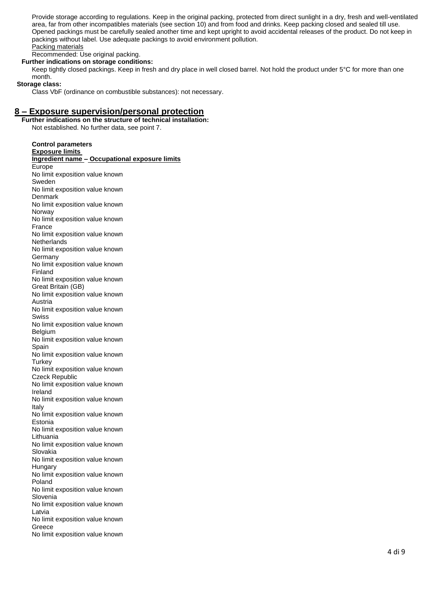Provide storage according to regulations. Keep in the original packing, protected from direct sunlight in a dry, fresh and well-ventilated area, far from other incompatibles materials (see section 10) and from food and drinks. Keep packing closed and sealed till use. Opened packings must be carefully sealed another time and kept upright to avoid accidental releases of the product. Do not keep in packings without label. Use adequate packings to avoid environment pollution. Packing materials

Recommended: Use original packing.

**Further indications on storage conditions:**

Keep tightly closed packings. Keep in fresh and dry place in well closed barrel. Not hold the product under 5°C for more than one month.

 **Storage class:**

Class VbF (ordinance on combustible substances): not necessary.

## **8 – Exposure supervision/personal protection**

**Further indications on the structure of technical installation:** Not established. No further data, see point 7.

**Control parameters Exposure limits Ingredient name – Occupational exposure limits** Europe No limit exposition value known Sweden No limit exposition value known Denmark No limit exposition value known Norway No limit exposition value known France No limit exposition value known **Netherlands** No limit exposition value known Germany No limit exposition value known Finland No limit exposition value known Great Britain (GB) No limit exposition value known Austria No limit exposition value known Swiss No limit exposition value known Belgium No limit exposition value known Spain No limit exposition value known **Turkey** No limit exposition value known Czeck Republic No limit exposition value known Ireland No limit exposition value known Italy No limit exposition value known Estonia No limit exposition value known Lithuania No limit exposition value known Slovakia No limit exposition value known Hungary No limit exposition value known Poland No limit exposition value known Slovenia No limit exposition value known Latvia No limit exposition value known Greece No limit exposition value known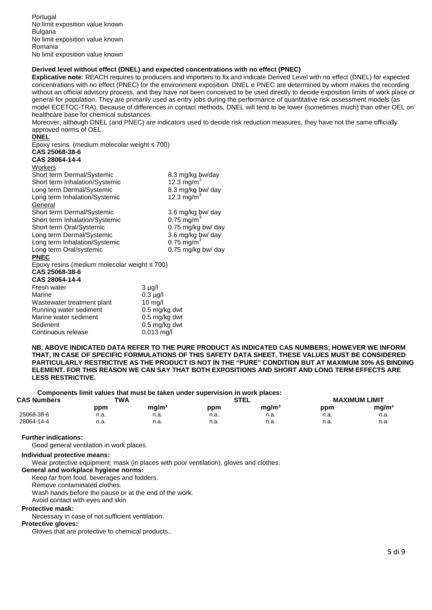#### **Derived level without effect (DNEL) and expected concentrations with no effect (PNEC)**

**Explicative note**: REACH requires to producers and importers to fix and indicate Derived Level with no effect (DNEL) for expected concentrations with no effect (PNEC) for the environment exposition. DNEL e PNEC are determined by whom makes the recording without an official advisory process, and they have not been conceived to be used directly to decide exposition limits of work place or general for population. They are primarily used as entry jobs during the performance of quantitative risk assessment models (as model ECETOC-TRA). Because of differences in contact methods, DNEL will tend to be lower (sometimes much) than other OEL on healthcare base for chemical substances.

Moreover, although DNEL (and PNEC) are indicators used to decide risk reduction measures, they have not the same officially approved norms of OEL.

#### **DNEL**

Epoxy resins (medium molecolar weight ≤ 700)

#### **CAS 25068-38-6 CAS 28064-14-4**

|  | YAY LUVUT      |  |  |  |
|--|----------------|--|--|--|
|  | <i>Morkore</i> |  |  |  |

| Workers                                            |                          |
|----------------------------------------------------|--------------------------|
| Short term Dermal/Systemic                         | 8.3 mg/kg bw/day         |
| Short term Inhalation/Systemic                     | 12.3 mg/m <sup>3</sup>   |
| Long term Dermal/Systemic                          | 8.3 mg/kg bw/ day        |
| Long term Inhalation/Systemic                      | 12.3 mg/m <sup>3</sup>   |
| General                                            |                          |
| Short term Dermal/Systemic                         | 3.6 mg/kg bw/ day        |
| Short term Inhalation/Systemic                     | $0.75$ mg/m <sup>3</sup> |
| Short term Oral/Systemic                           | 0.75 mg/kg bw/ day       |
| Long term Dermal/Systemic                          | 3.6 mg/kg bw/ day        |
| Long term Inhalation/Systemic                      | $0.75$ mg/m <sup>3</sup> |
| Long term Oral/systemic                            | 0.75 mg/kg bw/ day       |
| <b>PNEC</b>                                        |                          |
| Epoxy resins (medium molecolar weight $\leq 700$ ) |                          |
| CAS 25068-38-6                                     |                          |
| CAS 28064-14-4                                     |                          |
| Fresh water                                        | 3 µg/l                   |
| Marine                                             | $0.3 \mu$ g/l            |
| Wastewater treatment plant                         | $10 \text{ mg/l}$        |
| Running water sediment                             | 0.5 mg/kg dwt            |
| Marine water sediment                              | 0.5 mg/kg dwt            |
| Sediment                                           | 0.5 ma/ka dwt            |

**NB. ABOVE INDICATED DATA REFER TO THE PURE PRODUCT AS INDICATED CAS NUMBERS; HOWEVER WE INFORM THAT, IN CASE OF SPECIFIC FORMULATIONS OF THIS SAFETY DATA SHEET, THESE VALUES MUST BE CONSIDERED PARTICULARLY RESTRICTIVE AS THE PRODUCT IS NOT IN THE "PURE" CONDITION BUT AT MAXIMUM 30% AS BINDING ELEMENT. FOR THIS REASON WE CAN SAY THAT BOTH EXPOSITIONS AND SHORT AND LONG TERM EFFECTS ARE LESS RESTRICTIVE.**

**Components limit values that must be taken under supervision in work places:**

| <b>CAS Numbers</b> | TWA  |                   |      | <b>STEL</b>       |      | <b>MAXIMUM LIMIT</b> |  |
|--------------------|------|-------------------|------|-------------------|------|----------------------|--|
|                    | ppm  | mg/m <sup>3</sup> | ppm  | mg/m <sup>3</sup> | ppm  | mg/m <sup>3</sup>    |  |
| 25068-38-6         | n.a. | n.a.              | n.a. | n.a.              | n.a. | n.a.                 |  |
| 28064-14-4         | n.a. | n.a.              | n.a. | n.a.<br>__        | n.a. | n.a.                 |  |

#### **Further indications:**

Good general ventilation in work places.

#### **Individual protective means:**

Wear protective equipment: mask (in places with poor ventilation), gloves and clothes.

**General and workplace hygiene norms:**

Continuous release 0.013 mg/l

Keep far from food, beverages and fodders.

Remove contaminated clothes.

Wash hands before the pause or at the end of the work.

Avoid contact with eyes and skin

#### **Protective mask:**

Necessary in case of not sufficient ventilation.

#### **Protective gloves:**

Gloves that are protective to chemical products..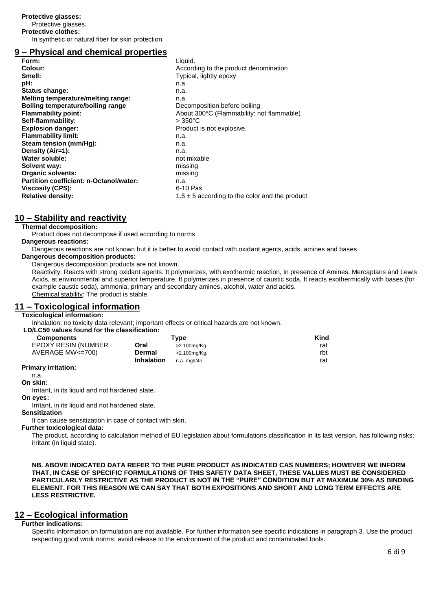Protective glasses.

**Protective clothes:**

In synthetic or natural fiber for skin protection.

# **9 – Physical and chemical properties**

| Form:                                    | Liquid.                                            |
|------------------------------------------|----------------------------------------------------|
| Colour:                                  | According to the product denomination              |
| Smell:                                   | Typical, lightly epoxy                             |
| pH:                                      | n.a.                                               |
| Status change:                           | n.a.                                               |
| Melting temperature/melting range:       | n.a.                                               |
| <b>Boiling temperature/boiling range</b> | Decomposition before boiling                       |
| <b>Flammability point:</b>               | About 300°C (Flammability: not flammable)          |
| Self-flammability:                       | $>350^{\circ}$ C                                   |
| <b>Explosion danger:</b>                 | Product is not explosive.                          |
| <b>Flammability limit:</b>               | n.a.                                               |
| Steam tension (mm/Hq):                   | n.a.                                               |
| Density (Air=1):                         | n.a.                                               |
| Water soluble:                           | not mixable                                        |
| Solvent way:                             | missing                                            |
| <b>Organic solvents:</b>                 | missing                                            |
| Partition coefficient: n-Octanol/water:  | n.a.                                               |
| <b>Viscosity (CPS):</b>                  | 6-10 Pas                                           |
| <b>Relative density:</b>                 | $1.5 \pm 5$ according to the color and the product |
|                                          |                                                    |

# **10 – Stability and reactivity**

# **Thermal decomposition:**

Product does not decompose if used according to norms.

#### **Dangerous reactions:**

Dangerous reactions are not known but it is better to avoid contact with oxidant agents, acids, amines and bases.

#### **Dangerous decomposition products:**

Dangerous decomposition products are not known.

Reactivity: Reacts with strong oxidant agents. It polymerizes, with exothermic reaction, in presence of Amines, Mercaptans and Lewis Acids, at environmental and superior temperature. It polymerizes in presence of caustic soda. It reacts exothermically with bases (for example caustic soda), ammonia, primary and secondary amines, alcohol, water and acids. Chemical stability: The product is stable.

### **11 – Toxicological information**

#### **Toxicological information:**

Inhalation: no toxicity data relevant; important effects or critical hazards are not known.

| LD/LC50 values found for the classification: |  |  |  |
|----------------------------------------------|--|--|--|
|                                              |  |  |  |

| <b>Components</b>          |                   | Tvpe          | Kind |
|----------------------------|-------------------|---------------|------|
| <b>EPOXY RESIN (NUMBER</b> | Oral              | >2.100mg/Kg.  | rat  |
| AVERAGE MW<=700)           | Dermal            | >2.100mg/Kg.  | rbt  |
|                            | <b>Inhalation</b> | n.a. mg/l/4h. | rat  |

#### **Primary irritation:**

n.a.

# **On skin:**

Irritant, in its liquid and not hardened state.

#### **On eyes:**

Irritant, in its liquid and not hardened state.

#### **Sensitization**

It can cause sensitization in case of contact with skin.

#### **Further toxicological data:**

The product, according to calculation method of EU legislation about formulations classification in its last version, has following risks: irritant (in liquid state).

**NB. ABOVE INDICATED DATA REFER TO THE PURE PRODUCT AS INDICATED CAS NUMBERS; HOWEVER WE INFORM THAT, IN CASE OF SPECIFIC FORMULATIONS OF THIS SAFETY DATA SHEET, THESE VALUES MUST BE CONSIDERED PARTICULARLY RESTRICTIVE AS THE PRODUCT IS NOT IN THE "PURE" CONDITION BUT AT MAXIMUM 30% AS BINDING ELEMENT. FOR THIS REASON WE CAN SAY THAT BOTH EXPOSITIONS AND SHORT AND LONG TERM EFFECTS ARE LESS RESTRICTIVE.**

# **12 – Ecological information**

### **Further indications:**

Specific information on formulation are not available. For further information see specific indications in paragraph 3. Use the product respecting good work norms: avoid release to the environment of the product and contaminated tools.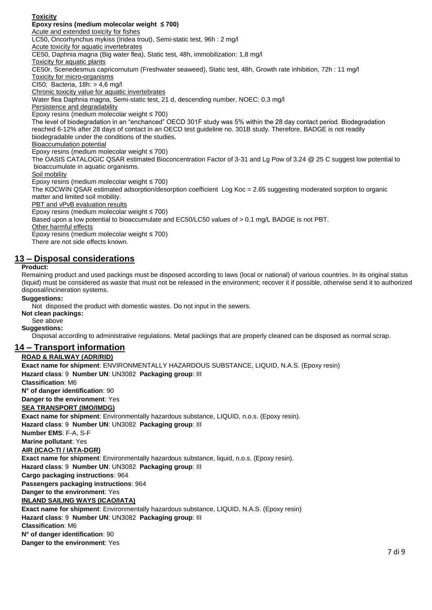## **Toxicity**

**Epoxy resins (medium molecolar weight ≤ 700)** Acute and extended toxicity for fishes LC50, Oncorhynchus mykiss (Iridea trout), Semi-static test, 96h : 2 mg/l Acute toxicity for aquatic invertebrates CE50, Daphnia magna (Big water flea), Static test, 48h, immobilization: 1,8 mg/l Toxicity for aquatic plants CE50r, Scenedesmus capricornutum (Freshwater seaweed), Static test, 48h, Growth rate inhibition, 72h : 11 mg/l Toxicity for micro-organisms CI50; Bacteria, 18h: > 4,6 mg/l Chronic toxicity value for aquatic invertebrates Water flea Daphnia magna, Semi-static test, 21 d, descending number, NOEC: 0,3 mg/l Persistence and degradability Epoxy resins (medium molecolar weight ≤ 700) The level of biodegradation in an "enchanced" OECD 301F study was 5% within the 28 day contact period. Biodegradation reached 6-12% after 28 days of contact in an OECD test guideline no. 301B study. Therefore, BADGE is not readily biodegradable under the conditions of the studies. Bioaccumulation potential Epoxy resins (medium molecolar weight ≤ 700) The OASIS CATALOGIC QSAR estimated Bioconcentration Factor of 3-31 and Lg Pow of 3.24 @ 25 C suggest low potential to bioaccumulate in aquatic organisms. Soil mobility Epoxy resins (medium molecolar weight ≤ 700) The KOCWIN QSAR estimated adsorption/desorption coefficient Log Koc = 2.65 suggesting moderated sorption to organic matter and limited soil mobility. PBT and vPvB evaluation results Epoxy resins (medium molecolar weight ≤ 700) Based upon a low potential to bioaccumulate and EC50/LC50 values of > 0.1 mg/L BADGE is not PBT. Other harmful effects Epoxy resins (medium molecolar weight ≤ 700) There are not side effects known.

# **13 – Disposal considerations**

### **Product:**

Remaining product and used packings must be disposed according to laws (local or national) of various countries. In its original status (liquid) must be considered as waste that must not be released in the environment; recover it if possible, otherwise send it to authorized disposal/incineration systems.

### **Suggestions:**

Not disposed the product with domestic wastes. Do not input in the sewers.

**Not clean packings:**

See above **Suggestions:**

Disposal according to administrative regulations. Metal packings that are properly cleaned can be disposed as normal scrap.

# **14 – Transport information**

### **ROAD & RAILWAY (ADR/RID)**

 7 di 9 **Exact name for shipment**: ENVIRONMENTALLY HAZARDOUS SUBSTANCE, LIQUID, N.A.S. (Epoxy resin) **Hazard class**: 9 **Number UN**: UN3082 **Packaging group**: III **Classification**: M6 **N° of danger identification**: 90 **Danger to the environment**: Yes **SEA TRANSPORT (IMO/IMDG) Exact name for shipment**: Environmentally hazardous substance, LIQUID, n.o.s. (Epoxy resin). **Hazard class**: 9 **Number UN**: UN3082 **Packaging group**: III **Number EMS**: F-A, S-F **Marine pollutant**: Yes **AIR (ICAO-TI / IATA-DGR) Exact name for shipment**: Environmentally hazardous substance, liquid, n.o.s. (Epoxy resin). **Hazard class**: 9 **Number UN**: UN3082 **Packaging group**: III **Cargo packaging instructions**: 964 **Passengers packaging instructions**: 964 **Danger to the environment**: Yes **INLAND SAILING WAYS (ICAO/IATA) Exact name for shipment**: Environmentally hazardous substance, LIQUID, N.A.S. (Epoxy resin) **Hazard class**: 9 **Number UN**: UN3082 **Packaging group**: III **Classification**: M6 **N° of danger identification**: 90 **Danger to the environment**: Yes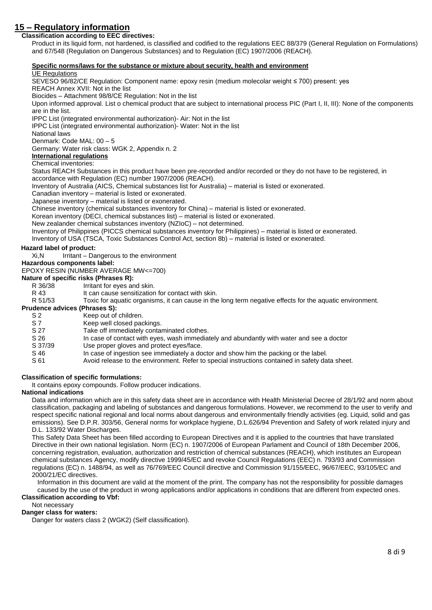# **15 – Regulatory information**

#### **Classification according to EEC directives:** Product in its liquid form, not hardened, is classified and codified to the regulations EEC 88/379 (General Regulation on Formulations) and 67/548 (Regulation on Dangerous Substances) and to Regulation (EC) 1907/2006 (REACH).

# **Specific norms/laws for the substance or mixture about security, health and environment**

#### UE Regulations

SEVESO 96/82/CE Regulation: Component name: epoxy resin (medium molecolar weight ≤ 700) present: yes REACH Annex XVII: Not in the list Biocides – Attachment 98/8/CE Regulation: Not in the list Upon informed approval. List o chemical product that are subject to international process PIC (Part I, II, III): None of the components are in the list. IPPC List (integrated environmental authorization)- Air: Not in the list IPPC List (integrated environmental authorization)- Water: Not in the list National laws Denmark: Code MAL: 00 – 5 Germany: Water risk class: WGK 2, Appendix n. 2 **International regulations** Chemical inventories: Status REACH Substances in this product have been pre-recorded and/or recorded or they do not have to be registered, in accordance with Regulation (EC) number 1907/2006 (REACH). Inventory of Australia (AICS, Chemical substances list for Australia) – material is listed or exonerated. Canadian inventory – material is listed or exonerated. Japanese inventory – material is listed or exonerated. Chinese inventory (chemical substances inventory for China) – material is listed or exonerated. Korean inventory (DECI, chemical substances list) – material is listed or exonerated. New zealander chemical substances inventory (NZIoC) – not determined. Inventory of Philippines (PICCS chemical substances inventory for Philippines) – material is listed or exonerated. Inventory of USA (TSCA, Toxic Substances Control Act, section 8b) – material is listed or exonerated. **Hazard label of product:** Xi, N Irritant – Dangerous to the environment **Hazardous components label:** EPOXY RESIN (NUMBER AVERAGE MW<=700) **Nature of specific risks (Phrases R):** R 36/38 Irritant for eyes and skin. R 43 It can cause sensitization for contact with skin. R 51/53 Toxic for aquatic organisms, it can cause in the long term negative effects for the aquatic environment. **Prudence advices (Phrases S):** S 2 Keep out of children. S 7 Keep well closed packings.

- 
- S 27 Take off immediately contaminated clothes.<br>S 26 In case of contact with eves, wash immedia
- In case of contact with eyes, wash immediately and abundantly with water and see a doctor
- S 37/39 Use proper gloves and protect eves/face.
- S 46 In case of ingestion see immediately a doctor and show him the packing or the label.
- S 61 Avoid release to the environment. Refer to special instructions contained in safety data sheet.

# **Classification of specific formulations:**

It contains epoxy compounds. Follow producer indications.

# **National indications**

Data and information which are in this safety data sheet are in accordance with Health Ministerial Decree of 28/1/92 and norm about classification, packaging and labeling of substances and dangerous formulations. However, we recommend to the user to verify and respect specific national regional and local norms about dangerous and environmentally friendly activities (eg. Liquid, solid and gas emissions). See D.P.R. 303/56, General norms for workplace hygiene, D.L.626/94 Prevention and Safety of work related injury and D.L. 133/92 Water Discharges.

This Safety Data Sheet has been filled according to European Directives and it is applied to the countries that have translated Directive in their own national legislation. Norm (EC) n. 1907/2006 of European Parlament and Council of 18th December 2006, concerning registration, evaluation, authorization and restriction of chemical substances (REACH), which institutes an European chemical substances Agency, modify directive 1999/45/EC and revoke Council Regulations (EEC) n. 793/93 and Commission regulations (EC) n. 1488/94, as well as 76/769/EEC Council directive and Commission 91/155/EEC, 96/67/EEC, 93/105/EC and 2000/21/EC directives.

Information in this document are valid at the moment of the print. The company has not the responsibility for possible damages caused by the use of the product in wrong applications and/or applications in conditions that are different from expected ones. **Classification according to Vbf:**

#### Not necessary

### **Danger class for waters:**

Danger for waters class 2 (WGK2) (Self classification).